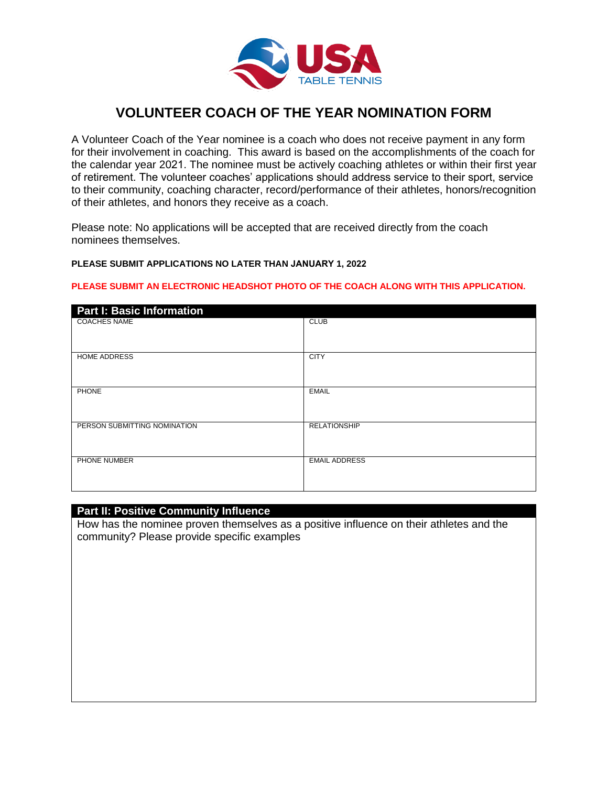

# **VOLUNTEER COACH OF THE YEAR NOMINATION FORM**

A Volunteer Coach of the Year nominee is a coach who does not receive payment in any form for their involvement in coaching. This award is based on the accomplishments of the coach for the calendar year 2021. The nominee must be actively coaching athletes or within their first year of retirement. The volunteer coaches' applications should address service to their sport, service to their community, coaching character, record/performance of their athletes, honors/recognition of their athletes, and honors they receive as a coach.

Please note: No applications will be accepted that are received directly from the coach nominees themselves.

#### **PLEASE SUBMIT APPLICATIONS NO LATER THAN JANUARY 1, 2022**

#### **PLEASE SUBMIT AN ELECTRONIC HEADSHOT PHOTO OF THE COACH ALONG WITH THIS APPLICATION.**

| <b>Part I: Basic Information</b> |                      |
|----------------------------------|----------------------|
| <b>COACHES NAME</b>              | <b>CLUB</b>          |
| HOME ADDRESS                     | <b>CITY</b>          |
| PHONE                            | <b>EMAIL</b>         |
| PERSON SUBMITTING NOMINATION     | <b>RELATIONSHIP</b>  |
| PHONE NUMBER                     | <b>EMAIL ADDRESS</b> |

#### **Part II: Positive Community Influence**

How has the nominee proven themselves as a positive influence on their athletes and the community? Please provide specific examples